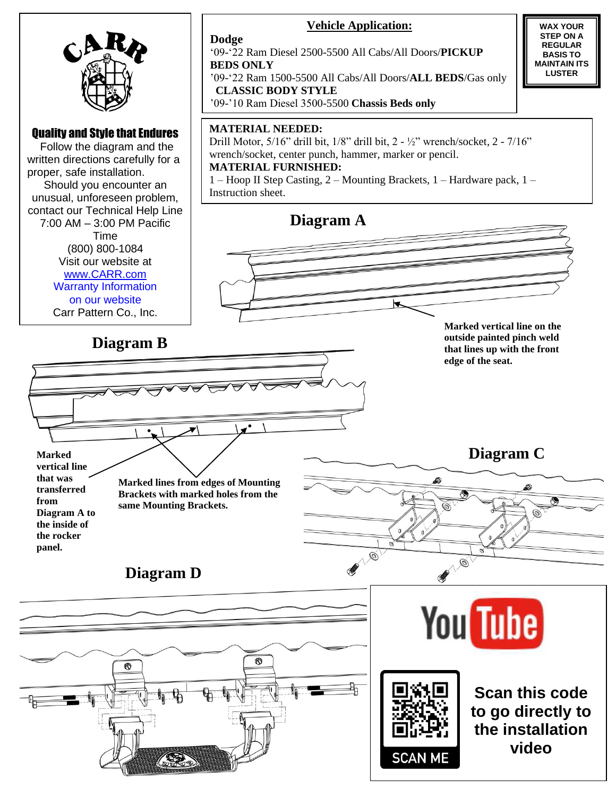